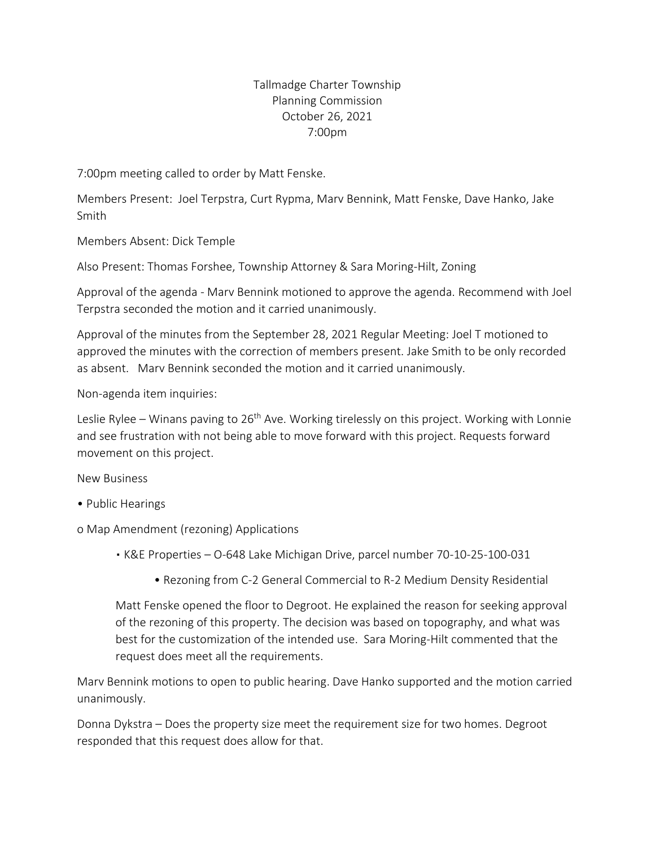## Tallmadge Charter Township Planning Commission October 26, 2021 7:00pm

7:00pm meeting called to order by Matt Fenske.

Members Present: Joel Terpstra, Curt Rypma, Marv Bennink, Matt Fenske, Dave Hanko, Jake Smith

Members Absent: Dick Temple

Also Present: Thomas Forshee, Township Attorney & Sara Moring-Hilt, Zoning

Approval of the agenda - Marv Bennink motioned to approve the agenda. Recommend with Joel Terpstra seconded the motion and it carried unanimously.

Approval of the minutes from the September 28, 2021 Regular Meeting: Joel T motioned to approved the minutes with the correction of members present. Jake Smith to be only recorded as absent. Marv Bennink seconded the motion and it carried unanimously.

Non-agenda item inquiries:

Leslie Rylee – Winans paving to 26<sup>th</sup> Ave. Working tirelessly on this project. Working with Lonnie and see frustration with not being able to move forward with this project. Requests forward movement on this project.

New Business

- Public Hearings
- o Map Amendment (rezoning) Applications
	- K&E Properties O-648 Lake Michigan Drive, parcel number 70-10-25-100-031
		- Rezoning from C-2 General Commercial to R-2 Medium Density Residential

Matt Fenske opened the floor to Degroot. He explained the reason for seeking approval of the rezoning of this property. The decision was based on topography, and what was best for the customization of the intended use. Sara Moring-Hilt commented that the request does meet all the requirements.

Marv Bennink motions to open to public hearing. Dave Hanko supported and the motion carried unanimously.

Donna Dykstra – Does the property size meet the requirement size for two homes. Degroot responded that this request does allow for that.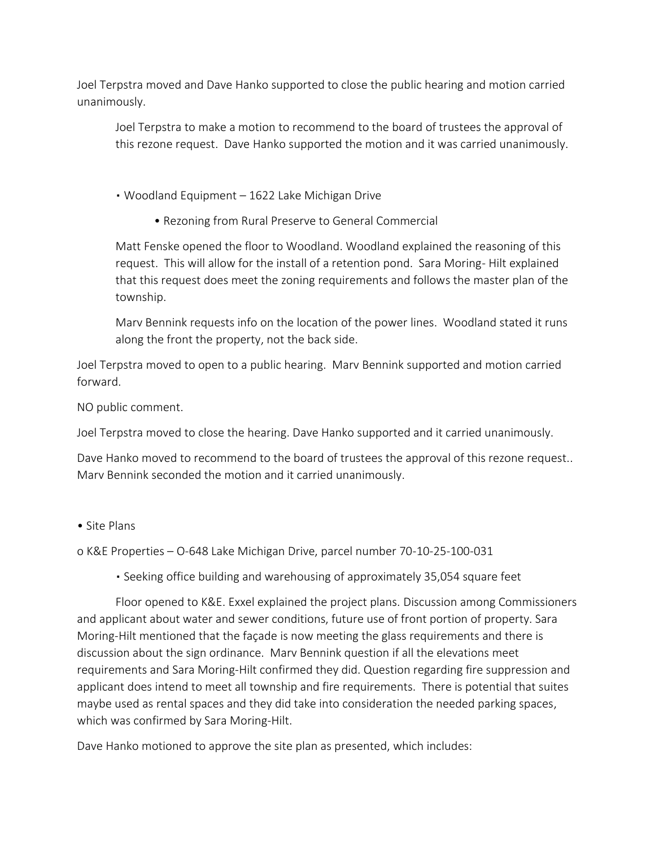Joel Terpstra moved and Dave Hanko supported to close the public hearing and motion carried unanimously.

Joel Terpstra to make a motion to recommend to the board of trustees the approval of this rezone request. Dave Hanko supported the motion and it was carried unanimously.

▪ Woodland Equipment – 1622 Lake Michigan Drive

• Rezoning from Rural Preserve to General Commercial

Matt Fenske opened the floor to Woodland. Woodland explained the reasoning of this request. This will allow for the install of a retention pond. Sara Moring- Hilt explained that this request does meet the zoning requirements and follows the master plan of the township.

Marv Bennink requests info on the location of the power lines. Woodland stated it runs along the front the property, not the back side.

Joel Terpstra moved to open to a public hearing. Marv Bennink supported and motion carried forward.

NO public comment.

Joel Terpstra moved to close the hearing. Dave Hanko supported and it carried unanimously.

Dave Hanko moved to recommend to the board of trustees the approval of this rezone request.. Marv Bennink seconded the motion and it carried unanimously.

• Site Plans

o K&E Properties – O-648 Lake Michigan Drive, parcel number 70-10-25-100-031

▪ Seeking office building and warehousing of approximately 35,054 square feet

Floor opened to K&E. Exxel explained the project plans. Discussion among Commissioners and applicant about water and sewer conditions, future use of front portion of property. Sara Moring-Hilt mentioned that the façade is now meeting the glass requirements and there is discussion about the sign ordinance. Marv Bennink question if all the elevations meet requirements and Sara Moring-Hilt confirmed they did. Question regarding fire suppression and applicant does intend to meet all township and fire requirements. There is potential that suites maybe used as rental spaces and they did take into consideration the needed parking spaces, which was confirmed by Sara Moring-Hilt.

Dave Hanko motioned to approve the site plan as presented, which includes: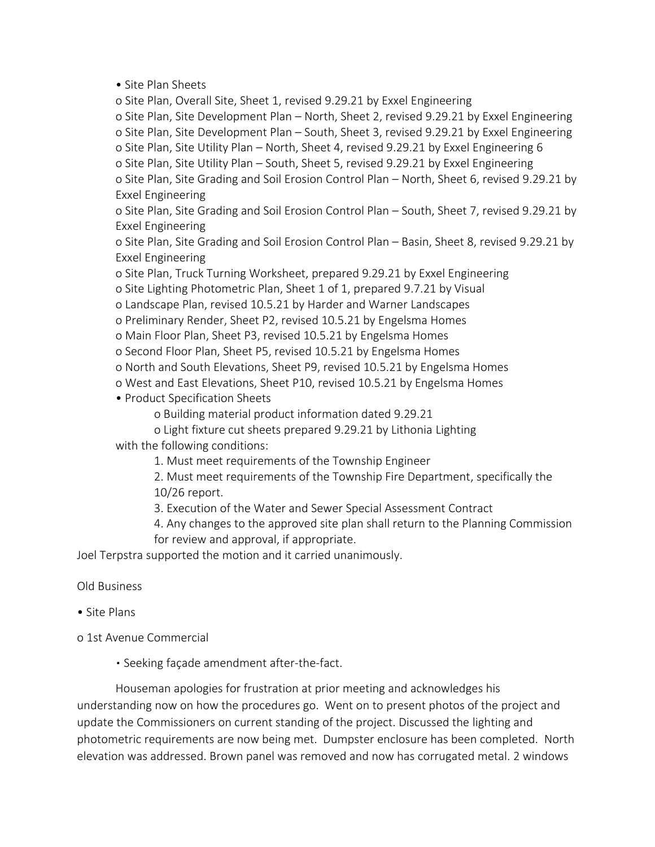• Site Plan Sheets

o Site Plan, Overall Site, Sheet 1, revised 9.29.21 by Exxel Engineering o Site Plan, Site Development Plan – North, Sheet 2, revised 9.29.21 by Exxel Engineering o Site Plan, Site Development Plan – South, Sheet 3, revised 9.29.21 by Exxel Engineering o Site Plan, Site Utility Plan – North, Sheet 4, revised 9.29.21 by Exxel Engineering 6 o Site Plan, Site Utility Plan – South, Sheet 5, revised 9.29.21 by Exxel Engineering o Site Plan, Site Grading and Soil Erosion Control Plan – North, Sheet 6, revised 9.29.21 by Exxel Engineering

o Site Plan, Site Grading and Soil Erosion Control Plan – South, Sheet 7, revised 9.29.21 by Exxel Engineering

o Site Plan, Site Grading and Soil Erosion Control Plan – Basin, Sheet 8, revised 9.29.21 by Exxel Engineering

o Site Plan, Truck Turning Worksheet, prepared 9.29.21 by Exxel Engineering

o Site Lighting Photometric Plan, Sheet 1 of 1, prepared 9.7.21 by Visual

o Landscape Plan, revised 10.5.21 by Harder and Warner Landscapes

o Preliminary Render, Sheet P2, revised 10.5.21 by Engelsma Homes

o Main Floor Plan, Sheet P3, revised 10.5.21 by Engelsma Homes

o Second Floor Plan, Sheet P5, revised 10.5.21 by Engelsma Homes

o North and South Elevations, Sheet P9, revised 10.5.21 by Engelsma Homes

o West and East Elevations, Sheet P10, revised 10.5.21 by Engelsma Homes

• Product Specification Sheets

o Building material product information dated 9.29.21

o Light fixture cut sheets prepared 9.29.21 by Lithonia Lighting

with the following conditions:

1. Must meet requirements of the Township Engineer

2. Must meet requirements of the Township Fire Department, specifically the 10/26 report.

3. Execution of the Water and Sewer Special Assessment Contract

4. Any changes to the approved site plan shall return to the Planning Commission for review and approval, if appropriate.

Joel Terpstra supported the motion and it carried unanimously.

Old Business

• Site Plans

o 1st Avenue Commercial

▪ Seeking façade amendment after-the-fact.

Houseman apologies for frustration at prior meeting and acknowledges his understanding now on how the procedures go. Went on to present photos of the project and update the Commissioners on current standing of the project. Discussed the lighting and photometric requirements are now being met. Dumpster enclosure has been completed. North elevation was addressed. Brown panel was removed and now has corrugated metal. 2 windows